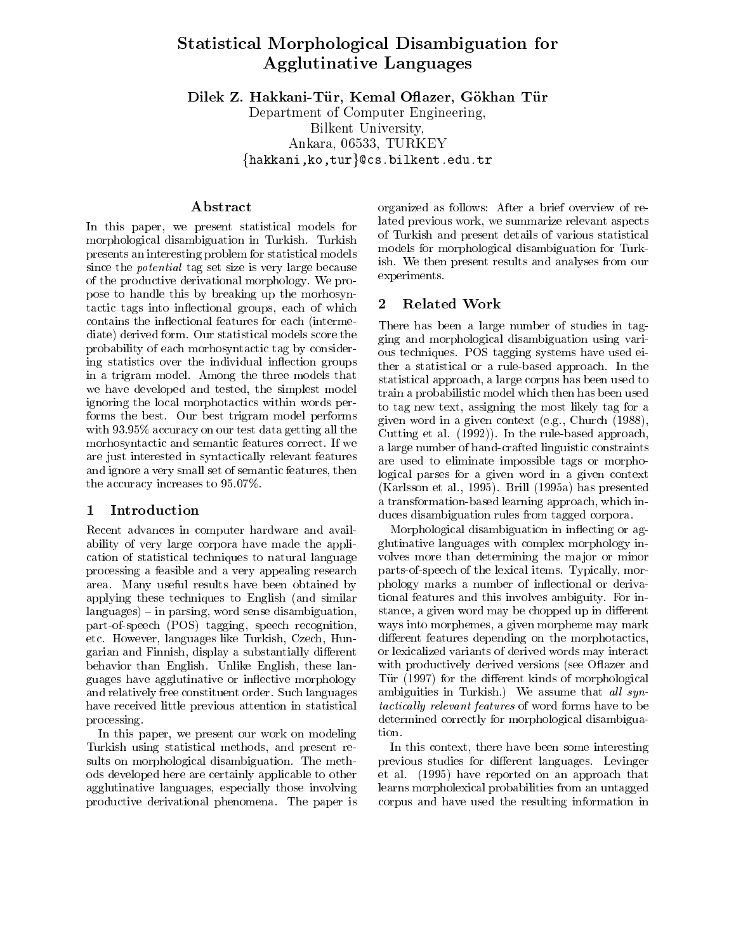# Statistical Morphological Disambiguation for Agglutinative Languages

Dilek Z. Hakkani-Tür, Kemal Oflazer, Gökhan Tür

Department of Computer Engineering, Bilkent University, Ankara, 06533, TURKEY  $\{h$ akkani,ko,tur $\}$ @cs.bilkent.edu.tr

#### Abstract

In this paper, we present statistical models for morphological disambiguation in Turkish. Turkish presents an interesting problem for statistical models since the potential tag set size is very large because of the productive derivational morphology. We propose to handle this by breaking up the morhosyntactic tags into in
ectional groups, each of which contains the in
ectional features for each (intermediate) derived form. Our statistical models score the probability of each morhosyntactic tag by considering statistics over the individual inflection groups in a trigram model. Among the three models that we have developed and tested, the simplest model ignoring the local morphotactics within words performs the best. Our best trigram model performs with 93.95% accuracy on our test data getting all the morhosyntactic and semantic features correct. If we are just interested in syntactically relevant features and ignore a very small set of semantic features, then the accuracy increases to 95.07%.

#### 1 Introduction

Recent advances in computer hardware and availability of very large corpora have made the application of statistical techniques to natural language processing a feasible and a very appealing research area. Many useful results have been obtained by applying these techniques to English (and similar  $languages$  – in parsing, word sense disambiguation, part-of-speech (POS) tagging, speech recognition, etc. However, languages like Turkish, Czech, Hungarian and Finnish, display a substantially different behavior than English. Unlike English, these languages have agglutinative or in
ective morphology and relatively free constituent order. Such languages have received little previous attention in statistical processing.

In this paper, we present our work on modeling Turkish using statistical methods, and present results on morphological disambiguation. The methods developed here are certainly applicable to other agglutinative languages, especially those involving productive derivational phenomena. The paper is

organized as follows: After a brief overview of related previous work, we summarize relevant aspects of Turkish and present details of various statistical models for morphological disambiguation for Turkish. We then present results and analyses from our experiments.

### 2 Related Work

There has been a large number of studies in tagging and morphological disambiguation using various techniques. POS tagging systems have used either a statistical or a rule-based approach. In the statistical approach, a large corpus has been used to train a probabilistic model which then has been used to tag new text, assigning the most likely tag for a given word in a given context (e.g., Church (1988), Cutting et al. (1992)). In the rule-based approach, a large number of hand-crafted linguistic constraints are used to eliminate impossible tags or morphological parses for a given word in a given context (Karlsson et al., 1995). Brill (1995a) has presented a transformation-based learning approach, which induces disambiguation rules from tagged corpora.

Morphological disambiguation in inflecting or agglutinative languages with complex morphology in volves more than determining the major or minor parts-of-speech of the lexical items. Typically, morphology marks a number of in
ectional or derivational features and this involves ambiguity. For instance, a given word may be chopped up in different ways into morphemes, a given morpheme may mark different features depending on the morphotactics, or lexicalized variants of derived words may interact with productively derived versions (see Oflazer and Tür (1997) for the different kinds of morphological ambiguities in Turkish.) We assume that all syntactically relevant features of word forms have to be determined correctly for morphological disambiguation.

In this context, there have been some interesting previous studies for different languages. Levinger et al. (1995) have reported on an approach that learns morpholexical probabilities from an untagged corpus and have used the resulting information in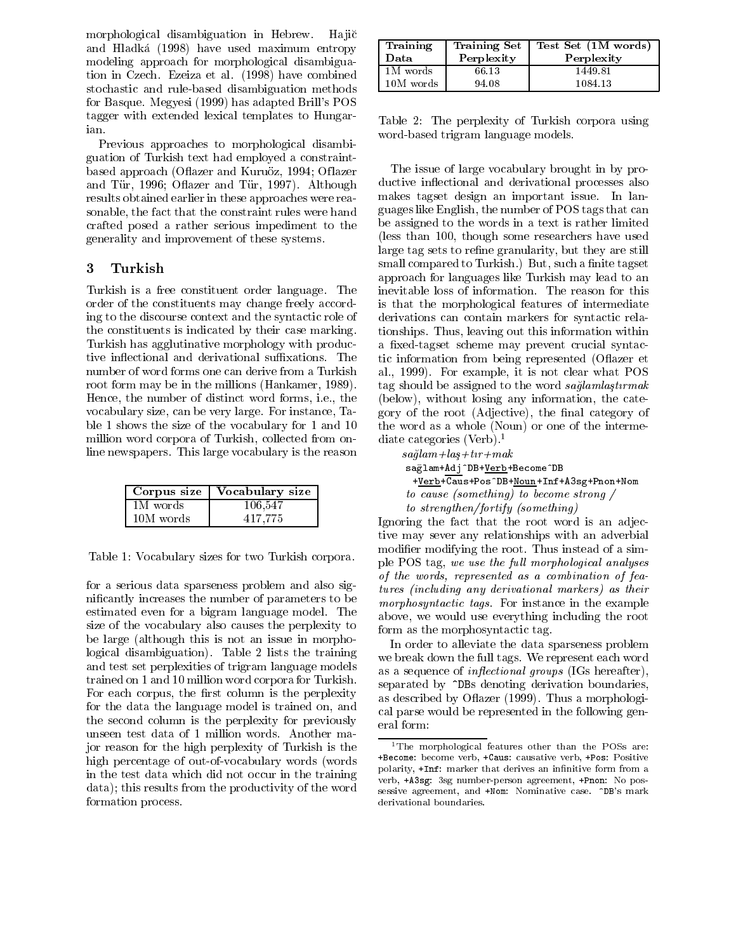morphological disambiguation in Hebrew. Hajič and Hladka (1998) have used maximum entropy modeling approach for morphological disambiguation in Czech. Ezeiza et al. (1998) have combined stochastic and rule-based disambiguation methods for Basque. Megyesi (1999) has adapted Brill's POS tagger with extended lexical templates to Hungarian.

Previous approaches to morphological disambiguation of Turkish text had employed a constraintbased approach (Oflazer and Kuruöz, 1994; Oflazer and Tür, 1996; Oflazer and Tür, 1997). Although results obtained earlier in these approaches were reasonable, the fact that the constraint rules were hand crafted posed a rather serious impediment to the generality and improvement of these systems.

## 3 Turkish

Turkish is a free constituent order language. The order of the constituents may change freely according to the discourse context and the syntactic role of the constituents is indicated by their case marking. Turkish has agglutinative morphology with productive inflectional and derivational suffixations. The number of word forms one can derive from a Turkish root form may be in the millions (Hankamer, 1989). Hence, the number of distinct word forms, i.e., the vocabulary size, can be very large. For instance, Table 1 shows the size of the vocabulary for 1 and 10 million word corpora of Turkish, collected from online newspapers. This large vocabulary is the reason

|           | Corpus size   Vocabulary size |
|-----------|-------------------------------|
| 1M words  | 106,547                       |
| 10M words | 417.775                       |

Table 1: Vocabulary sizes for two Turkish corpora.

for a serious data sparseness problem and also signicantly increases the number of parameters to be estimated even for a bigram language model. The size of the vocabulary also causes the perplexity to be large (although this is not an issue in morphological disambiguation). Table 2 lists the training and test set perplexities of trigram language models trained on 1 and 10 million word corpora for Turkish. For each corpus, the first column is the perplexity for the data the language model is trained on, and the second column is the perplexity for previously unseen test data of 1 million words. Another major reason for the high perplexity of Turkish is the high percentage of out-of-vocabulary words (words in the test data which did not occur in the training data); this results from the productivity of the word formation process.

| Training<br>Data | <b>Training Set</b><br>Perplexity | Test Set (1M words)<br>Perplexity |
|------------------|-----------------------------------|-----------------------------------|
| 1M words         | 66.13                             | 1449.81                           |
| 10M words        | 94.08                             | 1084.13                           |

Table 2: The perplexity of Turkish corpora using word-based trigram language models.

The issue of large vocabulary brought in by productive in
ectional and derivational processes also makes tagset design an important issue. In languages like English, the number of POS tags that can be assigned to the words in a text is rather limited (less than 100, though some researchers have used large tag sets to refine granularity, but they are still small compared to Turkish.) But, such a finite tagset approach for languages like Turkish may lead to an inevitable loss of information. The reason for this is that the morphological features of intermediate derivations can contain markers for syntactic relationships. Thus, leaving out this information within a fixed-tagset scheme may prevent crucial syntactic information from being represented (O
azer et al., 1999). For example, it is not clear what POS tag should be assigned to the word saglamlastic transitional (below), without losing any information, the category of the root (Adjective), the final category of the word as a whole (Noun) or one of the intermediate categories (Verb).1

 $sa\breve{g}$ lam + laş + tır + mak sağlam+Adj^DB+Verb+Become^DB +Verb+Caus+Pos^DB+Noun+Inf+A3sg+Pnon+Nom to cause (something) to become strong / to strengthen/fortify (something)

Ignoring the fact that the root word is an adjective may sever any relationships with an adverbial modier modifying the root. Thus instead of a simple POS tag, we use the full morphological analyses of the words, represented as a combination of features (including any derivational markers) as their morphosyntactic tags. For instance in the example above, we would use everything including the root form as the morphosyntactic tag.

In order to alleviate the data sparseness problem we break down the full tags. We represent each word as a sequence of *inflectional groups* (IGs hereafter), separated by  $\hat{\phantom{a}}$ DBs denoting derivation boundaries, as described by O
azer (1999). Thus a morphological parse would be represented in the following general form:

the morphological features other than the POSs are: +Become: become verb, +Caus: causative verb, +Pos: Positive polarity, +Inf: marker that derives an innitive form from a verb, +A3sg: 3sg number-person agreement, +Pnon: No possessive agreement, and +Nom: Nominative case. ^DB's mark derivational boundaries.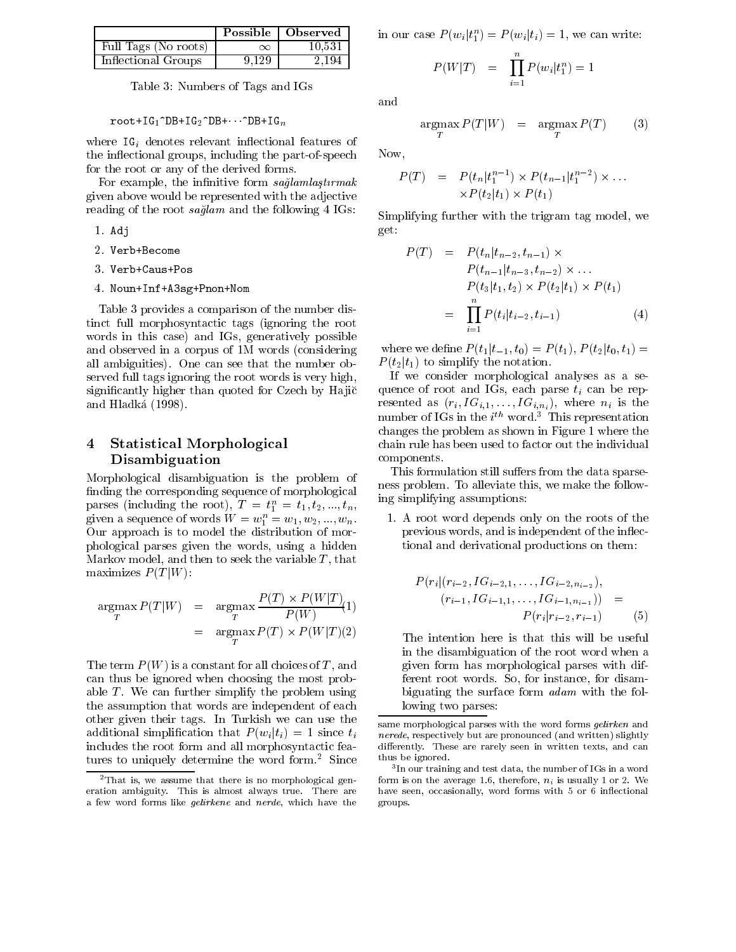|                      |          | Possible   Observed | ir |
|----------------------|----------|---------------------|----|
| Full Tags (No roots) | $\infty$ | 10.531              |    |
| Inflectional Groups  | 9.129    | 2.194               |    |

Table 3: Numbers of Tags and IGs

 $root+IG_1^DDB+IG_2^DBB+\cdots^DBB+IG_n$ 

where  $IG_i$  denotes relevant inflectional features of the inflectional groups, including the part-of-speech for the root or any of the derived forms.

For example, the infinitive form  $sa\ddot{\theta}$  amillastic state. given above would be represented with the adjective reading of the root saglam and the following 4 IGs:

- 1. Adj
- 2. Verb+Become
- 3. Verb+Caus+Pos
- 4. Noun+Inf+A3sg+Pnon+Nom

Table 3 provides a comparison of the number distinct full morphosyntactic tags (ignoring the root words in this case) and IGs, generatively possible and observed in a corpus of 1M words (considering all ambiguities). One can see that the number observed full tags ignoring the root words is very high, significantly higher than quoted for Czech by Hajič and Hladka (1998).

# 4 Statistical Morphological Disambiguation

Morphological disambiguation is the problem of finding the corresponding sequence of morphological parses (including the root),  $I = t_1 = t_1, t_2, ..., t_n$ , given a sequence of words  $W = w_1^2 = w_1, w_2, ..., w_n$ . Our approach is to model the distribution of morphological parses given the words, using a hidden Markov model, and then to seek the variable  $T$ , that maximizes  $P(T|W)$ :

$$
\operatorname*{argmax}_{T} P(T|W) = \operatorname*{argmax}_{T} \frac{P(T) \times P(W|T)}{P(W)}(1)
$$
\n
$$
= \operatorname*{argmax}_{T} P(T) \times P(W|T)(2)
$$

The term  $P(W)$  is a constant for all choices of T, and can thus be ignored when choosing the most probable  $T$ . We can further simplify the problem using the assumption that words are independent of each other given their tags. In Turkish we can use the additional simplification that  $P(w_i|t_i) = 1$  since  $t_i$ includes the root form and all morphosyntactic features to uniquely determine the word form.<sup>2</sup> Since

**EXECUTE:**  $\begin{bmatrix} 0 & \text{b} & \text{c} \\ \text{c} & \text{d} & \text{d} \end{bmatrix}$  in our case  $P(w_i | t_1) = P(w_i | t_i) = 1$ , we can write:

$$
P(W|T) = \prod_{i=1}^{n} P(w_i|t_1^n) = 1
$$

and

$$
\underset{T}{\text{argmax}} P(T|W) = \underset{T}{\text{argmax}} P(T) \qquad (3)
$$

Now,

$$
P(T) = P(t_n|t_1^{n-1}) \times P(t_{n-1}|t_1^{n-2}) \times \dots
$$
  
 
$$
\times P(t_2|t_1) \times P(t_1)
$$

Simplifying further with the trigram tag model, we get:

$$
P(T) = P(t_n|t_{n-2}, t_{n-1}) \times P(t_{n-1}|t_{n-3}, t_{n-2}) \times ...
$$
  
\n
$$
P(t_3|t_1, t_2) \times P(t_2|t_1) \times P(t_1)
$$
  
\n
$$
= \prod_{i=1}^n P(t_i|t_{i-2}, t_{i-1})
$$
 (4)

where we define  $P(t_1|t_{-1}, t_0) = P(t_1), P(t_2|t_0, t_1) =$  $P(t_2|t_1)$  to simplify the notation.

If we consider morphological analyses as a sequence of root and IGs, each parse  $t_i$  can be represented as  $(r_i, IG_{i,1}, \ldots, IG_{i,n_i})$ , where  $n_i$  is the  $\min$  or  $\log$  in the  $i^{**}$  word. This representation changes the problem as shown in Figure 1 where the chain rule has been used to factor out the individual components.

This formulation still suffers from the data sparseness problem. To alleviate this, we make the following simplifying assumptions:

1. A root word depends only on the roots of the previous words, and is independent of the in
ectional and derivational productions on them:

$$
P(r_i|(r_{i-2}, IG_{i-2,1}, \ldots, IG_{i-2,n_{i-2}}),
$$
  
\n
$$
(r_{i-1}, IG_{i-1,1}, \ldots, IG_{i-1,n_{i-1}})) =
$$
  
\n
$$
P(r_i|r_{i-2}, r_{i-1})
$$
 (5)

The intention here is that this will be useful in the disambiguation of the root word when a given form has morphological parses with different root words. So, for instance, for disambiguating the surface form adam with the following two parses:

 $^{2}$ That is, we assume that there is no morphological generation ambiguity. This is almost always true. There are a few word forms like *demikene* and *nerge*, which have the  $\epsilon$  riv

same morphological parses with the word forms gelirken and nerede, respectively but are pronounced (and written) slightlydierently. These are rarely seen in written texts, and can thus be ignored.

<sup>3</sup> In our training and test data, the number of IGs in a wordform is on the average 1.6, therefore,  $n_i$  is usually 1 or 2. We have seen, occasionally, word forms with 5 or 6 in
ectional groups.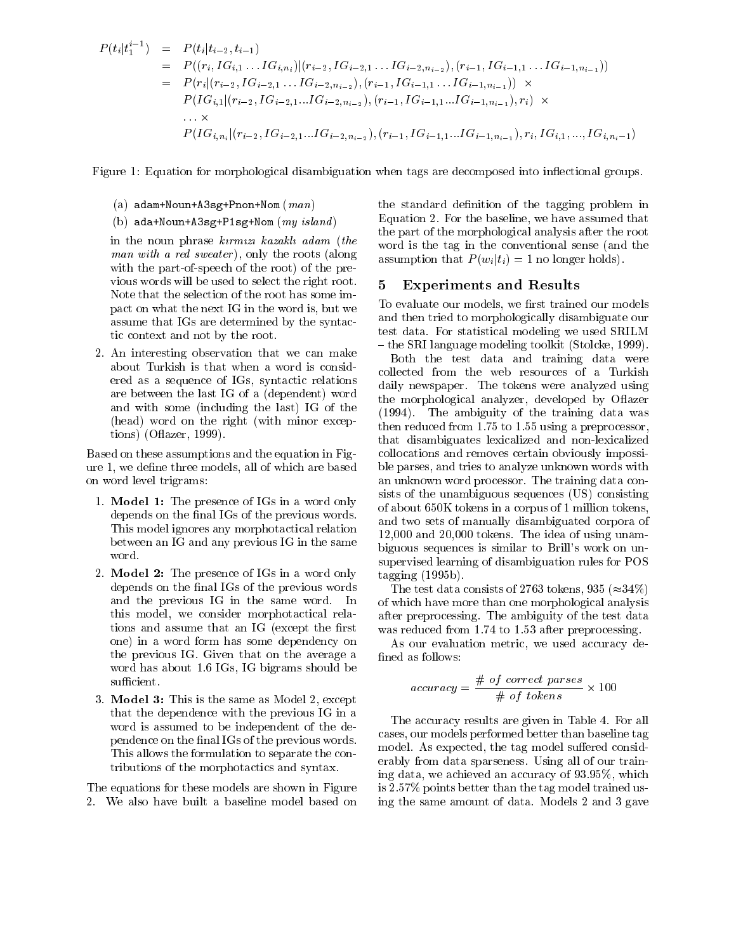$$
P(t_i|t_1^{i-1}) = P(t_i|t_{i-2}, t_{i-1})
$$
  
\n
$$
= P((r_i, IG_{i,1} \ldots IG_{i,n_i})|(r_{i-2}, IG_{i-2,1} \ldots IG_{i-2,n_{i-2}}), (r_{i-1}, IG_{i-1,1} \ldots IG_{i-1,n_{i-1}}))
$$
  
\n
$$
= P(r_i|(r_{i-2}, IG_{i-2,1} \ldots IG_{i-2,n_{i-2}}), (r_{i-1}, IG_{i-1,1} \ldots IG_{i-1,n_{i-1}})) \times
$$
  
\n
$$
P(IG_{i,1}|(r_{i-2}, IG_{i-2,1} \ldots IG_{i-2,n_{i-2}}), (r_{i-1}, IG_{i-1,1} \ldots IG_{i-1,n_{i-1}}), r_i) \times
$$
  
\n
$$
\ldots \times
$$
  
\n
$$
P(IG_{i,n_i}|(r_{i-2}, IG_{i-2,1} \ldots IG_{i-2,n_{i-2}}), (r_{i-1}, IG_{i-1,1} \ldots IG_{i-1,n_{i-1}}), r_i, IG_{i,1}, \ldots, IG_{i,n_i-1})
$$

Figure 1: Equation for morphological disambiguation when tags are decomposed into inflectional groups.

- (a)  $adam+Noun+ASsg+Pnon+Nom (man)$
- (b)  $ada+Noun+A3sg+P1sg+Nom (my island)$

in the noun phrase kirmizi kazaklı adam (the man with a red sweater), only the roots (along with the part-of-speech of the root) of the previous words will be used to select the right root. Note that the selection of the root has some impact on what the next IG in the word is, but we assume that IGs are determined by the syntactic context and not by the root.

2. An interesting observation that we can make about Turkish isthat when a word is considered as a sequence of IGs, syntactic relations are between the last IG of a (dependent) word and with some (including the last) IG of the (head) word on the right (with minor exceptions) (O
azer, 1999).

Based on these assumptions and the equation in Figure 1, we define three models, all of which are based on word level trigrams:

- 1. Model 1: The presence of IGs in a word only depends on the final IGs of the previous words. This model ignores any morphotactical relation between an IG and any previous IG in the same word.
- 2. Model 2: The presence of IGs in a word only depends on the final IGs of the previous words and the previous IG in the same word. In this model, we consider morphotactical relations and assume that an IG (except the first one) in a word form has some dependency on the previous IG. Given that on the average a word has about 1.6 IGs, IG bigrams should be sufficient.
- 3. Model 3: This is the same as Model 2, except that the dependence with the previous IG in a word is assumed to be independent of the dependence on the final IGs of the previous words. This allows the formulation to separate the contributions of the morphotactics and syntax.

The equations for these models are shown in Figure 2. We also have built a baseline model based on the standard definition of the tagging problem in Equation 2. For the baseline, we have assumed that the part of the morphological analysis after the root word is the tag in the conventional sense (and the assumption that  $P(w_i | t_i) = 1$  no longer holds).

#### 5 Experiments and Results

To evaluate our models, we first trained our models and then tried to morphologically disambiguate our test data. For statistical modeling we used SRILM { the SRI language modeling toolkit (Stolcke, 1999).

Both the test data and training data were collected from the web resources of a Turkish daily newspaper. The tokens were analyzed using the morphological analyzer, developed by O
azer (1994). The ambiguity of the training data was then reduced from 1.75 to 1.55 using a preprocessor, that disambiguates lexicalized and non-lexicalized collocations and removes certain obviously impossible parses, and tries to analyze unknown words with an unknown word processor. The training data consists of the unambiguous sequences (US) consisting of about 650K tokens in a corpus of 1 million tokens, and two sets of manually disambiguated corpora of 12,000 and 20,000 tokens. The idea of using unambiguous sequences is similar to Brill's work on unsupervised learning of disambiguation rules for POS tagging (1995b).

The test data consists of 2763 tokens, 935 ( $\approx$ 34%) of which have more than one morphological analysis after preprocessing. The ambiguity of the test data was reduced from 1.74 to 1.53 after preprocessing.

As our evaluation metric, we used accuracy de-

$$
accuracy = \frac{\# of correct \text{ parses}}{\# of \text{ tokens}} \times 100
$$

The accuracy results are given in Table 4. For all cases, our models performed better than baseline tag model. As expected, the tag model suffered considerably from data sparseness. Using all of our training data, we achieved an accuracy of 93.95%, which is 2.57% points better than the tag model trained using the same amount of data. Models 2 and 3 gave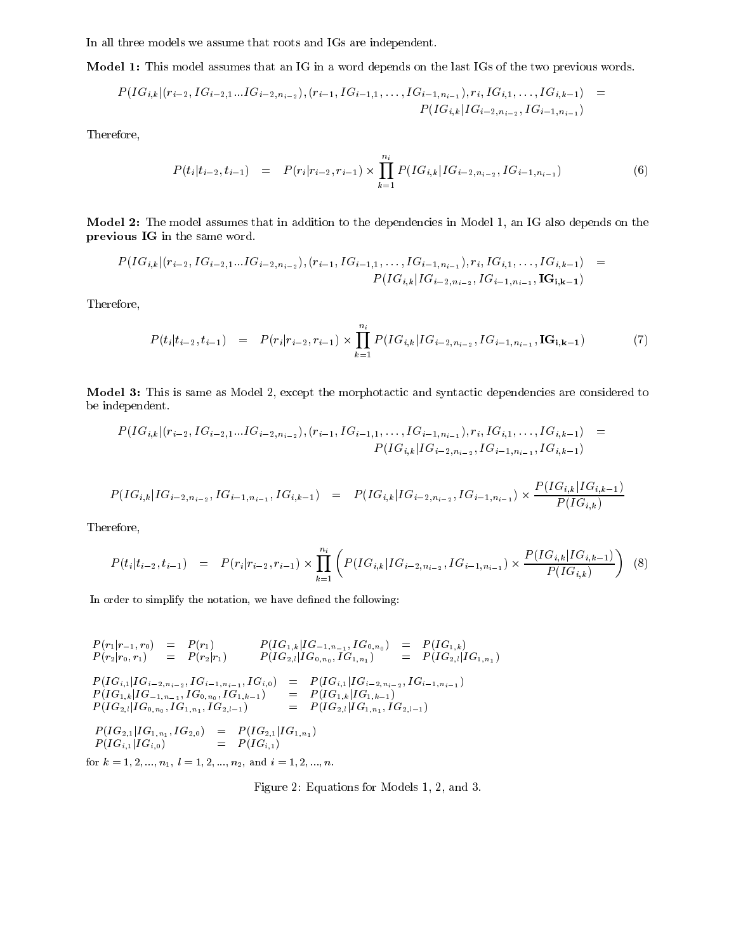In all three models we assume that roots and IGs are independent.

Model 1: This model assumes that an IG in a word depends on the last IGs of the two previous words.

$$
P(IG_{i,k} | (r_{i-2}, IG_{i-2,1}...IG_{i-2,n_{i-2}}), (r_{i-1},IG_{i-1,1},...,IG_{i-1,n_{i-1}}), r_i, IG_{i,1},...,IG_{i,k-1}) =
$$
  

$$
P(IG_{i,k} | IG_{i-2,n_{i-2}}, IG_{i-1,n_{i-1}})
$$

Therefore,

$$
P(t_i|t_{i-2}, t_{i-1}) = P(r_i|r_{i-2}, r_{i-1}) \times \prod_{k=1}^{n_i} P(IG_{i,k}|IG_{i-2, n_{i-2}}, IG_{i-1, n_{i-1}}) \tag{6}
$$

Model 2: The model assumes that in addition to the dependencies in Model 1, an IG also depends on the previous IG in the same word.

$$
P(IG_{i,k} | (r_{i-2}, IG_{i-2,1}...IG_{i-2,n_{i-2}}), (r_{i-1},IG_{i-1,1}, ..., IG_{i-1,n_{i-1}}), r_i, IG_{i,1}, ..., IG_{i,k-1}) =
$$
  

$$
P(IG_{i,k} | IG_{i-2,n_{i-2}}, IG_{i-1,n_{i-1}}, \mathbf{IG}_{i,k-1})
$$

Therefore,

$$
P(t_i|t_{i-2}, t_{i-1}) = P(r_i|r_{i-2}, r_{i-1}) \times \prod_{k=1}^{n_i} P(IG_{i,k}|IG_{i-2, n_{i-2}}, IG_{i-1, n_{i-1}}, \text{IG}_{i,k-1}) \tag{7}
$$

Model 3: This is same as Model 2, except the morphotactic and syntactic dependencies are considered to be independent.

$$
P(IG_{i,k} | (r_{i-2}, IG_{i-2,1}...IG_{i-2,n_{i-2}}), (r_{i-1},IG_{i-1,1},...,IG_{i-1,n_{i-1}}), r_i, IG_{i,1},...,IG_{i,k-1}) =
$$
  

$$
P(IG_{i,k} | IG_{i-2,n_{i-2}}, IG_{i-1,n_{i-1}}, IG_{i,k-1})
$$

$$
P(IG_{i,k} | IG_{i-2, n_{i-2}}, IG_{i-1, n_{i-1}}, IG_{i,k-1}) = P(IG_{i,k} | IG_{i-2, n_{i-2}}, IG_{i-1, n_{i-1}}) \times \frac{P(IG_{i,k} | IG_{i,k-1})}{P(IG_{i,k})}
$$

Therefore,

$$
P(t_i|t_{i-2}, t_{i-1}) = P(r_i|r_{i-2}, r_{i-1}) \times \prod_{k=1}^{n_i} \left( P(IG_{i,k}|IG_{i-2, n_{i-2}}, IG_{i-1, n_{i-1}}) \times \frac{P(IG_{i,k}|IG_{i,k-1})}{P(IG_{i,k})} \right)
$$
(8)

In order to simplify the notation, we have defined the following:

$$
P(r_1|r_{-1},r_0) = P(r_1) \t P(IG_{1,k}|IG_{-1,n_{-1}},IG_{0,n_0}) = P(IG_{1,k})
$$
  
\n
$$
P(r_2|r_0,r_1) = P(r_2|r_1) \t P(IG_{2,l}|IG_{0,n_0},IG_{1,n_1}) = P(IG_{2,l}|IG_{1,n_1})
$$
  
\n
$$
P(IG_{i,1}|IG_{i-2,n_{i-2}},IG_{i-1,n_{i-1}},IG_{i,0}) = P(IG_{i,1}|IG_{i-2,n_{i-2}},IG_{i-1,n_{i-1}})
$$
  
\n
$$
P(IG_{1,k}|IG_{-1,n_{-1}},IG_{0,n_0},IG_{1,k-1}) = P(IG_{1,k}|IG_{1,k-1})
$$
  
\n
$$
P(IG_{2,l}|IG_{0,n_0},IG_{1,n_1},IG_{2,l-1}) = P(IG_{2,l}|IG_{1,n_1},IG_{2,l-1})
$$
  
\n
$$
P(IG_{2,1}|IG_{1,n_1},IG_{2,0}) = P(IG_{2,1}|IG_{1,n_1})
$$
  
\n
$$
P(IG_{i,1}|IG_{i,0}) = P(IG_{i,1})
$$

for  $k = 1, 2, ..., n$ ,  $i = 1, 2, ..., n$ , and  $i = 1, 2, ..., n$ .

Figure 2: Equations for Models 1, 2, and 3.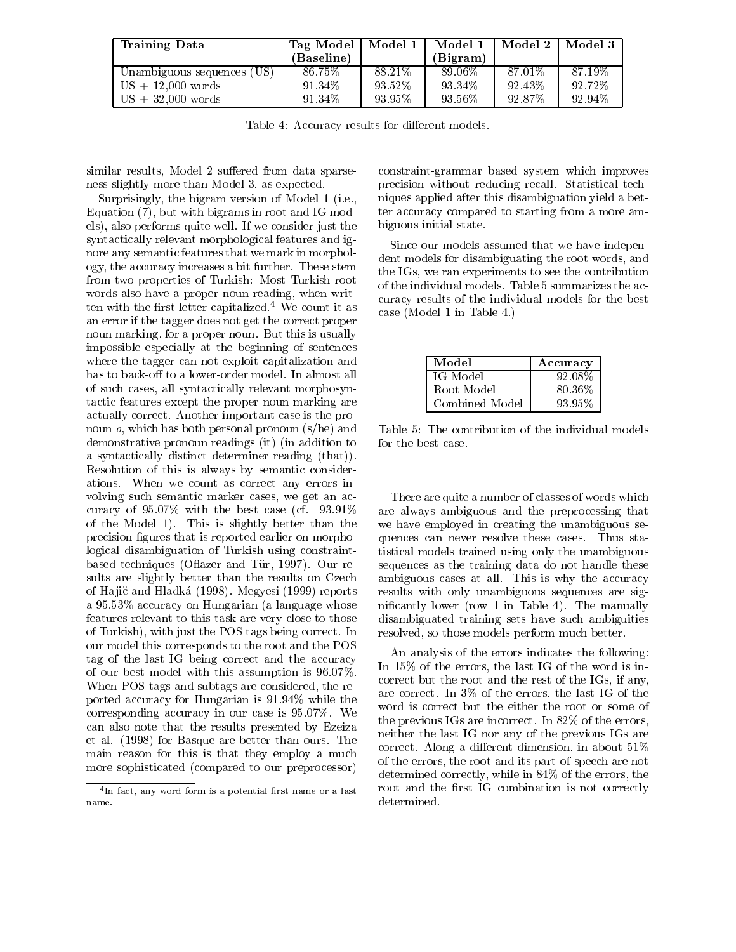| <b>Training Data</b>             | Tag Model  | Model 1   | Model 1  | Model 2   | Model 3 |
|----------------------------------|------------|-----------|----------|-----------|---------|
|                                  | (Baseline) |           | (Bigram) |           |         |
| (US).<br>Unambiguous sequences ( | 86.75%     | 88.21\%   | 89.06%   | 87.01%    | 87.19%  |
| $US + 12,000$ words              | 91.34%     | $93.52\%$ | 93.34%   | $92.43\%$ | 92.72%  |
| $US + 32,000$ words              | 91 34\%    | 93.95%    | 93.56%   | 92.87%    | 92.94%  |

Table 4: Accuracy results for different models.

similar results, Model 2 suffered from data sparseness slightly more than Model 3, as expected.

Surprisingly, the bigram version of Model 1 (i.e., Equation (7), but with bigrams in root and IG models), also performs quite well. If we consider just the syntactically relevant morphological features and ignore any semantic features that we mark in morphology, the accuracy increases a bit further. These stem from two properties of Turkish: Most Turkish root words also have a proper noun reading, when written with the first letter capitalized.<sup>4</sup> We count it as an error if the tagger does not get the correct proper noun marking, for a proper noun. But this is usually impossible especially at the beginning of sentences where the tagger can not exploit capitalization and has to back-off to a lower-order model. In almost all of such cases, all syntactically relevant morphosyntactic features except the proper noun marking are actually correct. Another important case is the pronoun  $o$ , which has both personal pronoun  $(s/he)$  and demonstrative pronoun readings (it) (in addition to a syntactically distinct determiner reading (that)). Resolution of this is always by semantic considerations. When we count as correct any errors in volving such semantic marker cases, we get an accuracy of 95.07% with the best case (cf. 93.91% of the Model 1). This is slightly better than the precision figures that is reported earlier on morphological disambiguation of Turkish using constraintbased techniques (Oflazer and Tür, 1997). Our results are slightly better than the results on Czech of Ha jic and Hladka (1998). Megyesi (1999) reports a 95.53% accuracy on Hungarian (a language whose features relevant to this task are very close to those of Turkish), with just the POS tags being correct. In our model this corresponds to the root and the POS tag of the last IG being correct and the accuracy of our best model with this assumption is 96.07%. When POS tags and subtags are considered, the reported accuracy for Hungarian is 91.94% while the corresponding accuracy in our case is 95.07%. We can also note that the results presented by Ezeiza et al. (1998) for Basque are better than ours. The main reason for this is that they employ a much more sophisticated (compared to our preprocessor) constraint-grammar based system which improves precision without reducing recall. Statistical techniques applied after this disambiguation yield a better accuracy compared to starting from a more ambiguous initial state.

Since our models assumed that we have independent models for disambiguating the root words, and the IGs, we ran experiments to see the contribution of the individual models. Table 5 summarizes the accuracy results of the individual models for the best case (Model 1 in Table 4.)

| Model          | Accuracy |
|----------------|----------|
| IG Model       | 92.08%   |
| Root Model     | 80.36%   |
| Combined Model | 93.95%   |

Table 5: The contribution of the individual models for the best case.

There are quite a number of classes of words which are always ambiguous and the preprocessing that we have employed in creating the unambiguous sequences can never resolve these cases. Thus statistical models trained using only the unambiguous sequences as the training data do not handle these ambiguous cases at all. This is why the accuracy results with only unambiguous sequences are signicantly lower (row 1 in Table 4). The manually disambiguated training sets have such ambiguities resolved, so those models perform much better.

An analysis of the errors indicates the following: In 15% of the errors, the last IG of the word is incorrect but the root and the rest of the IGs, if any, are correct. In 3% of the errors, the last IG of the word is correct but the either the root or some of the previous IGs are incorrect. In 82% of the errors, neither the last IG nor any of the previous IGs are correct. Along a different dimension, in about  $51\%$ of the errors, the root and its part-of-speech are not determined correctly, while in 84% of the errors, the root and the first IG combination is not correctly determined.

<sup>4</sup> In fact, any word form is a potential rst name or a lastname.